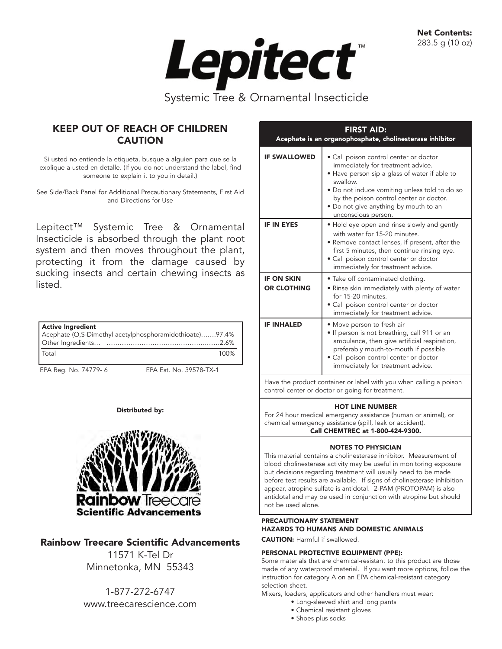Net Contents: 283.5 g (10 oz)



# KEEP OUT OF REACH OF CHILDREN **CAUTION**

Si usted no entiende la etiqueta, busque a alguien para que se la explique a usted en detalle. (If you do not understand the label, find someone to explain it to you in detail.)

See Side/Back Panel for Additional Precautionary Statements, First Aid and Directions for Use

Lepitect™ Systemic Tree & Ornamental Insecticide is absorbed through the plant root system and then moves throughout the plant, protecting it from the damage caused by sucking insects and certain chewing insects as listed.

| Active Ingredient                                       |      |
|---------------------------------------------------------|------|
| Acephate (O,S-Dimethyl acetylphosphoramidothioate)97.4% |      |
|                                                         |      |
| l Total                                                 | 100% |

EPA Reg. No. 74779- 6 EPA Est. No. 39578-TX-1

# Distributed by:



# Rainbow Treecare Scientific Advancements

11571 K-Tel Dr Minnetonka, MN 55343

1-877-272-6747 www.treecarescience.com

| <b>FIRST AID:</b><br>Acephate is an organophosphate, cholinesterase inhibitor |                                                                                                                                                                                                                                                                                                      |  |  |  |  |
|-------------------------------------------------------------------------------|------------------------------------------------------------------------------------------------------------------------------------------------------------------------------------------------------------------------------------------------------------------------------------------------------|--|--|--|--|
| <b>IF SWALLOWED</b>                                                           | • Call poison control center or doctor<br>immediately for treatment advice.<br>• Have person sip a glass of water if able to<br>swallow.<br>• Do not induce vomiting unless told to do so<br>by the poison control center or doctor.<br>• Do not give anything by mouth to an<br>unconscious person. |  |  |  |  |
| <b>IF IN EYES</b>                                                             | • Hold eye open and rinse slowly and gently<br>with water for 15-20 minutes.<br>• Remove contact lenses, if present, after the<br>first 5 minutes, then continue rinsing eye.<br>• Call poison control center or doctor<br>immediately for treatment advice.                                         |  |  |  |  |
| <b>IF ON SKIN</b><br><b>OR CLOTHING</b>                                       | • Take off contaminated clothing.<br>• Rinse skin immediately with plenty of water<br>for 15-20 minutes.<br>• Call poison control center or doctor<br>immediately for treatment advice.                                                                                                              |  |  |  |  |
| <b>IF INHALED</b>                                                             | • Move person to fresh air<br>· If person is not breathing, call 911 or an<br>ambulance, then give artificial respiration,<br>preferably mouth-to-mouth if possible.<br>• Call poison control center or doctor<br>immediately for treatment advice.                                                  |  |  |  |  |
| Have the product container or label with you when calling a poison            |                                                                                                                                                                                                                                                                                                      |  |  |  |  |

Have the product container or label with you when calling a poison control center or doctor or going for treatment.

# HOT LINE NUMBER

For 24 hour medical emergency assistance (human or animal), or chemical emergency assistance (spill, leak or accident). Call CHEMTREC at 1-800-424-9300.

# NOTES TO PHYSICIAN

This material contains a cholinesterase inhibitor. Measurement of blood cholinesterase activity may be useful in monitoring exposure but decisions regarding treatment will usually need to be made before test results are available. If signs of cholinesterase inhibition appear, atropine sulfate is antidotal. 2-PAM (PROTOPAM) is also antidotal and may be used in conjunction with atropine but should not be used alone.

# PRECAUTIONARY STATEMENT HAZARDS TO HUMANS AND DOMESTIC ANIMALS

CAUTION: Harmful if swallowed.

# PERSONAL PROTECTIVE EQUIPMENT (PPE):

Some materials that are chemical-resistant to this product are those made of any waterproof material. If you want more options, follow the instruction for category A on an EPA chemical-resistant category selection sheet.

Mixers, loaders, applicators and other handlers must wear:

- Long-sleeved shirt and long pants
- Chemical resistant gloves
- Shoes plus socks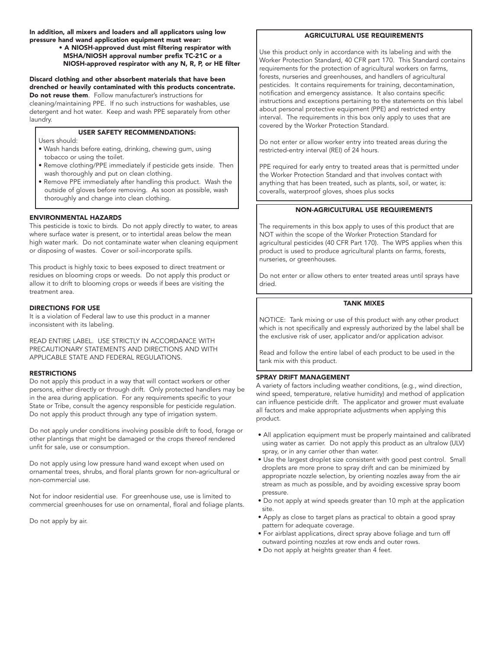In addition, all mixers and loaders and all applicators using low pressure hand wand application equipment must wear:

#### • A NIOSH-approved dust mist filtering respirator with MSHA/NIOSH approval number prefix TC-21C or a NIOSH-approved respirator with any N, R, P, or HE filter

Discard clothing and other absorbent materials that have been drenched or heavily contaminated with this products concentrate. Do not reuse them. Follow manufacturer's instructions for cleaning/maintaining PPE. If no such instructions for washables, use detergent and hot water. Keep and wash PPE separately from other

laundry.

### USER SAFETY RECOMMENDATIONS:

Users should:

- Wash hands before eating, drinking, chewing gum, using tobacco or using the toilet.
- Remove clothing/PPE immediately if pesticide gets inside. Then wash thoroughly and put on clean clothing.
- Remove PPE immediately after handling this product. Wash the outside of gloves before removing. As soon as possible, wash thoroughly and change into clean clothing.

#### ENVIRONMENTAL HAZARDS

This pesticide is toxic to birds. Do not apply directly to water, to areas where surface water is present, or to intertidal areas below the mean high water mark. Do not contaminate water when cleaning equipment or disposing of wastes. Cover or soil-incorporate spills.

This product is highly toxic to bees exposed to direct treatment or residues on blooming crops or weeds. Do not apply this product or allow it to drift to blooming crops or weeds if bees are visiting the treatment area.

#### DIRECTIONS FOR USE

It is a violation of Federal law to use this product in a manner inconsistent with its labeling.

READ ENTIRE LABEL. USE STRICTLY IN ACCORDANCE WITH PRECAUTIONARY STATEMENTS AND DIRECTIONS AND WITH APPLICABLE STATE AND FEDERAL REGULATIONS.

#### **RESTRICTIONS**

Do not apply this product in a way that will contact workers or other persons, either directly or through drift. Only protected handlers may be in the area during application. For any requirements specific to your State or Tribe, consult the agency responsible for pesticide regulation. Do not apply this product through any type of irrigation system.

Do not apply under conditions involving possible drift to food, forage or other plantings that might be damaged or the crops thereof rendered unfit for sale, use or consumption.

Do not apply using low pressure hand wand except when used on ornamental trees, shrubs, and floral plants grown for non-agricultural or non-commercial use.

Not for indoor residential use. For greenhouse use, use is limited to commercial greenhouses for use on ornamental, floral and foliage plants.

Do not apply by air.

#### AGRICULTURAL USE REQUIREMENTS

Use this product only in accordance with its labeling and with the Worker Protection Standard, 40 CFR part 170. This Standard contains requirements for the protection of agricultural workers on farms, forests, nurseries and greenhouses, and handlers of agricultural pesticides. It contains requirements for training, decontamination, notification and emergency assistance. It also contains specific instructions and exceptions pertaining to the statements on this label about personal protective equipment (PPE) and restricted entry interval. The requirements in this box only apply to uses that are covered by the Worker Protection Standard.

Do not enter or allow worker entry into treated areas during the restricted-entry interval (REI) of 24 hours.

PPE required for early entry to treated areas that is permitted under the Worker Protection Standard and that involves contact with anything that has been treated, such as plants, soil, or water, is: coveralls, waterproof gloves, shoes plus socks

## NON-AGRICULTURAL USE REQUIREMENTS

The requirements in this box apply to uses of this product that are NOT within the scope of the Worker Protection Standard for agricultural pesticides (40 CFR Part 170). The WPS applies when this product is used to produce agricultural plants on farms, forests, nurseries, or greenhouses.

Do not enter or allow others to enter treated areas until sprays have dried.

#### TANK MIXES

NOTICE: Tank mixing or use of this product with any other product which is not specifically and expressly authorized by the label shall be the exclusive risk of user, applicator and/or application advisor.

Read and follow the entire label of each product to be used in the tank mix with this product.

#### SPRAY DRIFT MANAGEMENT

A variety of factors including weather conditions, (e.g., wind direction, wind speed, temperature, relative humidity) and method of application can influence pesticide drift. The applicator and grower must evaluate all factors and make appropriate adjustments when applying this product.

- All application equipment must be properly maintained and calibrated using water as carrier. Do not apply this product as an ultralow (ULV) spray, or in any carrier other than water.
- Use the largest droplet size consistent with good pest control. Small droplets are more prone to spray drift and can be minimized by appropriate nozzle selection, by orienting nozzles away from the air stream as much as possible, and by avoiding excessive spray boom pressure.
- Do not apply at wind speeds greater than 10 mph at the application site.
- Apply as close to target plans as practical to obtain a good spray pattern for adequate coverage.
- For airblast applications, direct spray above foliage and turn off outward pointing nozzles at row ends and outer rows.
- Do not apply at heights greater than 4 feet.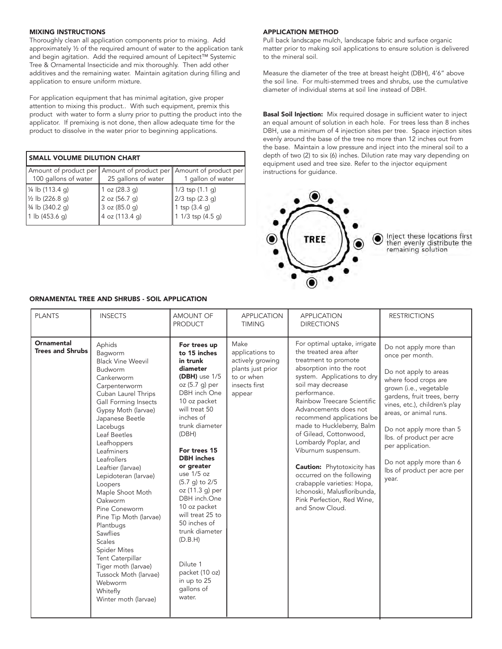## MIXING INSTRUCTIONS

Thoroughly clean all application components prior to mixing. Add approximately ½ of the required amount of water to the application tank and begin agitation. Add the required amount of Lepitect™ Systemic Tree & Ornamental Insecticide and mix thoroughly. Then add other additives and the remaining water. Maintain agitation during filling and application to ensure uniform mixture.

For application equipment that has minimal agitation, give proper attention to mixing this product.. With such equipment, premix this product with water to form a slurry prior to putting the product into the applicator. If premixing is not done, then allow adequate time for the product to dissolve in the water prior to beginning applications.

| <b>SMALL VOLUME DILUTION CHART</b>                                                        |                                                                     |                                                                          |  |  |  |
|-------------------------------------------------------------------------------------------|---------------------------------------------------------------------|--------------------------------------------------------------------------|--|--|--|
| Amount of product per<br>100 gallons of water                                             | 25 gallons of water                                                 | Amount of product per    Amount of product per<br>1 gallon of water      |  |  |  |
| 1/4 lb (113.4 g)<br>$\frac{1}{2}$ lb (226.8 g)<br>3/4 lb (340.2 g)<br>1 $\vert$ (453.6 q) | 1 oz $(28.3 g)$<br>2 oz (56.7 g)<br>3 oz (85.0 g)<br>4 oz (113.4 g) | 1/3 tsp (1.1 g)<br>2/3 tsp (2.3 g)<br>1 tsp (3.4 g)<br>1 1/3 tsp (4.5 g) |  |  |  |

## ORNAMENTAL TREE AND SHRUBS - SOIL APPLICATION

#### APPLICATION METHOD

Pull back landscape mulch, landscape fabric and surface organic matter prior to making soil applications to ensure solution is delivered to the mineral soil.

Measure the diameter of the tree at breast height (DBH), 4'6" above the soil line. For multi-stemmed trees and shrubs, use the cumulative diameter of individual stems at soil line instead of DBH.

**Basal Soil Injection:** Mix required dosage in sufficient water to inject an equal amount of solution in each hole. For trees less than 8 inches DBH, use a minimum of 4 injection sites per tree. Space injection sites evenly around the base of the tree no more than 12 inches out from the base. Maintain a low pressure and inject into the mineral soil to a depth of two (2) to six (6) inches. Dilution rate may vary depending on equipment used and tree size. Refer to the injector equipment instructions for guidance.



Inject these locations first then evenly distribute the<br>remaining solution

| <b>PLANTS</b>                         | <b>INSECTS</b>                                                                                                                                                                                                                                                                                                                                                                                                                                                                                                                                                                 | AMOUNT OF<br><b>PRODUCT</b>                                                                                                                                                                                                                                                                                                                                                                                                                                        | <b>APPLICATION</b><br><b>TIMING</b>                                                                       | <b>APPLICATION</b><br><b>DIRECTIONS</b>                                                                                                                                                                                                                                                                                                                                                                                                                                                                                                                   | <b>RESTRICTIONS</b>                                                                                                                                                                                                                                                                                                                                            |
|---------------------------------------|--------------------------------------------------------------------------------------------------------------------------------------------------------------------------------------------------------------------------------------------------------------------------------------------------------------------------------------------------------------------------------------------------------------------------------------------------------------------------------------------------------------------------------------------------------------------------------|--------------------------------------------------------------------------------------------------------------------------------------------------------------------------------------------------------------------------------------------------------------------------------------------------------------------------------------------------------------------------------------------------------------------------------------------------------------------|-----------------------------------------------------------------------------------------------------------|-----------------------------------------------------------------------------------------------------------------------------------------------------------------------------------------------------------------------------------------------------------------------------------------------------------------------------------------------------------------------------------------------------------------------------------------------------------------------------------------------------------------------------------------------------------|----------------------------------------------------------------------------------------------------------------------------------------------------------------------------------------------------------------------------------------------------------------------------------------------------------------------------------------------------------------|
| Ornamental<br><b>Trees and Shrubs</b> | Aphids<br>Bagworm<br><b>Black Vine Weevil</b><br>Budworm<br>Cankerworm<br>Carpenterworm<br>Cuban Laurel Thrips<br>Gall Forming Insects<br>Gypsy Moth (larvae)<br>Japanese Beetle<br>Lacebugs<br>Leaf Beetles<br>Leafhoppers<br>Leafminers<br>Leafrollers<br>Leaftier (larvae)<br>Lepidoteran (larvae)<br>Loopers<br>Maple Shoot Moth<br>Oakworm<br>Pine Coneworm<br>Pine Tip Moth (larvae)<br>Plantbugs<br>Sawflies<br><b>Scales</b><br><b>Spider Mites</b><br>Tent Caterpillar<br>Tiger moth (larvae)<br>Tussock Moth (larvae)<br>Webworm<br>Whitefly<br>Winter moth (larvae) | For trees up<br>to 15 inches<br>in trunk<br>diameter<br>$(DBH)$ use $1/5$<br>oz (5.7 g) per<br>DBH inch One<br>10 oz packet<br>will treat 50<br>inches of<br>trunk diameter<br>(DBH)<br>For trees 15<br><b>DBH</b> inches<br>or greater<br>use $1/5$ oz<br>(5.7 g) to 2/5<br>oz (11.3 g) per<br>DBH inch.One<br>10 oz packet<br>will treat 25 to<br>50 inches of<br>trunk diameter<br>(D.B.H)<br>Dilute 1<br>packet (10 oz)<br>in up to 25<br>qallons of<br>water. | Make<br>applications to<br>actively growing<br>plants just prior<br>to or when<br>insects first<br>appear | For optimal uptake, irrigate<br>the treated area after<br>treatment to promote<br>absorption into the root<br>system. Applications to dry<br>soil may decrease<br>performance.<br>Rainbow Treecare Scientific<br>Advancements does not<br>recommend applications be<br>made to Huckleberry, Balm<br>of Gilead, Cottonwood,<br>Lombardy Poplar, and<br>Viburnum suspensum.<br><b>Caution:</b> Phytotoxicity has<br>occurred on the following<br>crabapple varieties: Hopa,<br>Ichonoski, Malusfloribunda,<br>Pink Perfection, Red Wine,<br>and Snow Cloud. | Do not apply more than<br>once per month.<br>Do not apply to areas<br>where food crops are<br>grown (i.e., vegetable<br>gardens, fruit trees, berry<br>vines, etc.), children's play<br>areas, or animal runs.<br>Do not apply more than 5<br>lbs. of product per acre<br>per application.<br>Do not apply more than 6<br>lbs of product per acre per<br>year. |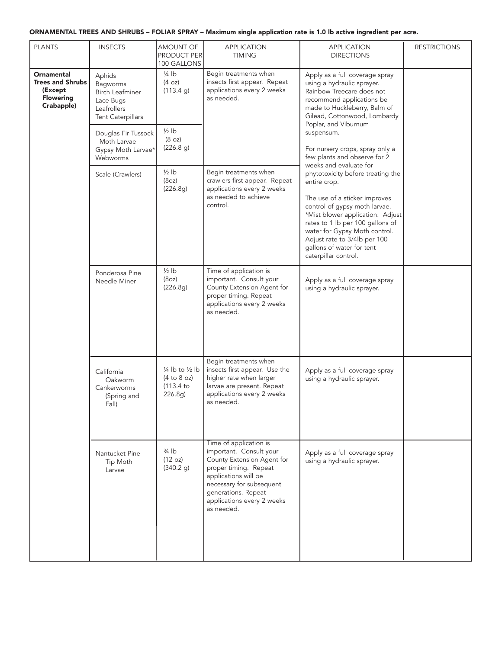# ORNAMENTAL TREES AND SHRUBS – FOLIAR SPRAY – Maximum single application rate is 1.0 lb active ingredient per acre.

| <b>PLANTS</b>                                                                             | <b>INSECTS</b>                                                                                | <b>AMOUNT OF</b><br><b>PRODUCT PER</b><br>100 GALLONS                       | <b>APPLICATION</b><br><b>TIMING</b>                                                                                                                                                                                             | <b>APPLICATION</b><br><b>DIRECTIONS</b>                                                                                                                                                                                                                                                                                                                                                                                                                                                                                                                                                                                                        | <b>RESTRICTIONS</b> |
|-------------------------------------------------------------------------------------------|-----------------------------------------------------------------------------------------------|-----------------------------------------------------------------------------|---------------------------------------------------------------------------------------------------------------------------------------------------------------------------------------------------------------------------------|------------------------------------------------------------------------------------------------------------------------------------------------------------------------------------------------------------------------------------------------------------------------------------------------------------------------------------------------------------------------------------------------------------------------------------------------------------------------------------------------------------------------------------------------------------------------------------------------------------------------------------------------|---------------------|
| <b>Ornamental</b><br><b>Trees and Shrubs</b><br>(Except<br><b>Flowering</b><br>Crabapple) | Aphids<br>Bagworms<br>Birch Leafminer<br>Lace Bugs<br>Leafrollers<br><b>Tent Caterpillars</b> | $\frac{1}{4}$ lb<br>(4 oz)<br>(113.4 g)                                     | Begin treatments when<br>insects first appear. Repeat<br>applications every 2 weeks<br>as needed.                                                                                                                               | Apply as a full coverage spray<br>using a hydraulic sprayer.<br>Rainbow Treecare does not<br>recommend applications be<br>made to Huckleberry, Balm of<br>Gilead, Cottonwood, Lombardy<br>Poplar, and Viburnum<br>suspensum.<br>For nursery crops, spray only a<br>few plants and observe for 2<br>weeks and evaluate for<br>phytotoxicity before treating the<br>entire crop.<br>The use of a sticker improves<br>control of gypsy moth larvae.<br>*Mist blower application: Adjust<br>rates to 1 lb per 100 gallons of<br>water for Gypsy Moth control.<br>Adjust rate to 3/4lb per 100<br>gallons of water for tent<br>caterpillar control. |                     |
|                                                                                           | Douglas Fir Tussock<br>Moth Larvae<br>Gypsy Moth Larvae*<br>Webworms                          | $\frac{1}{2}$ lb<br>(8 oz)<br>(226.8 g)                                     |                                                                                                                                                                                                                                 |                                                                                                                                                                                                                                                                                                                                                                                                                                                                                                                                                                                                                                                |                     |
|                                                                                           | Scale (Crawlers)                                                                              | $\frac{1}{2}$ lb<br>(8oz)<br>(226.8g)                                       | Begin treatments when<br>crawlers first appear. Repeat<br>applications every 2 weeks<br>as needed to achieve<br>control.                                                                                                        |                                                                                                                                                                                                                                                                                                                                                                                                                                                                                                                                                                                                                                                |                     |
|                                                                                           | Ponderosa Pine<br>Needle Miner                                                                | $\frac{1}{2}$ lb<br>(8oz)<br>(226.8g)                                       | Time of application is<br>important. Consult your<br>County Extension Agent for<br>proper timing. Repeat<br>applications every 2 weeks<br>as needed.                                                                            | Apply as a full coverage spray<br>using a hydraulic sprayer.                                                                                                                                                                                                                                                                                                                                                                                                                                                                                                                                                                                   |                     |
|                                                                                           | California<br>Oakworm<br>Cankerworms<br>(Spring and<br>Fall)                                  | $\frac{1}{4}$ lb to $\frac{1}{2}$ lb<br>(4 to 8 oz)<br>(113.4 to<br>226.8g) | Begin treatments when<br>insects first appear. Use the<br>higher rate when larger<br>larvae are present. Repeat<br>applications every 2 weeks<br>as needed.                                                                     | Apply as a full coverage spray<br>using a hydraulic sprayer.                                                                                                                                                                                                                                                                                                                                                                                                                                                                                                                                                                                   |                     |
|                                                                                           | Nantucket Pine<br>Tip Moth<br>Larvae                                                          | $\frac{3}{4}$ lb<br>(12 oz)<br>(340.2 g)                                    | Time of application is<br>important. Consult your<br>County Extension Agent for<br>proper timing. Repeat<br>applications will be<br>necessary for subsequent<br>generations. Repeat<br>applications every 2 weeks<br>as needed. | Apply as a full coverage spray<br>using a hydraulic sprayer.                                                                                                                                                                                                                                                                                                                                                                                                                                                                                                                                                                                   |                     |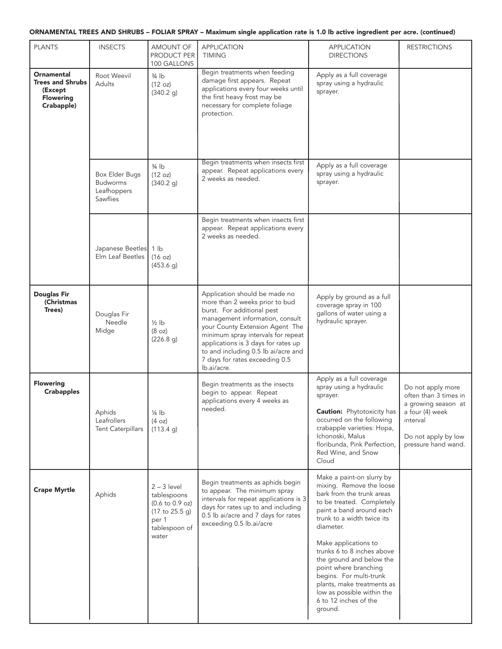# ORNAMENTAL TREES AND SHRUBS – FOLIAR SPRAY – Maximum single application rate is 1.0 lb active ingredient per acre. (continued)

| <b>PLANTS</b>                                                                             | <b>INSECTS</b>                                                      | AMOUNT OF<br>PRODUCT PER<br>100 GALLONS                                                                                 | <b>APPLICATION</b><br><b>TIMING</b>                                                                                                                                                                                                                                                                                                      | <b>APPLICATION</b><br><b>DIRECTIONS</b>                                                                                                                                                                                                                                                                                                                                                                                      | <b>RESTRICTIONS</b>                                                                                                                            |
|-------------------------------------------------------------------------------------------|---------------------------------------------------------------------|-------------------------------------------------------------------------------------------------------------------------|------------------------------------------------------------------------------------------------------------------------------------------------------------------------------------------------------------------------------------------------------------------------------------------------------------------------------------------|------------------------------------------------------------------------------------------------------------------------------------------------------------------------------------------------------------------------------------------------------------------------------------------------------------------------------------------------------------------------------------------------------------------------------|------------------------------------------------------------------------------------------------------------------------------------------------|
| <b>Ornamental</b><br><b>Trees and Shrubs</b><br>(Except<br><b>Flowering</b><br>Crabapple) | Root Weevil<br>Adults                                               | $3/4$ lb<br>(12 oz)<br>(340.2 g)                                                                                        | Begin treatments when feeding<br>damage first appears. Repeat<br>applications every four weeks until<br>the first heavy frost may be<br>necessary for complete foliage<br>protection.                                                                                                                                                    | Apply as a full coverage<br>spray using a hydraulic<br>sprayer.                                                                                                                                                                                                                                                                                                                                                              |                                                                                                                                                |
|                                                                                           | <b>Box Elder Bugs</b><br><b>Budworms</b><br>Leafhoppers<br>Sawflies | $\frac{3}{4}$ lb<br>(12 oz)<br>(340.2 g)                                                                                | Begin treatments when insects first<br>appear. Repeat applications every<br>2 weeks as needed.                                                                                                                                                                                                                                           | Apply as a full coverage<br>spray using a hydraulic<br>sprayer.                                                                                                                                                                                                                                                                                                                                                              |                                                                                                                                                |
|                                                                                           | Japanese Beetles 1 lb<br>Elm Leaf Beetles                           | (16 oz)<br>(453.6 g)                                                                                                    | Begin treatments when insects first<br>appear. Repeat applications every<br>2 weeks as needed.                                                                                                                                                                                                                                           |                                                                                                                                                                                                                                                                                                                                                                                                                              |                                                                                                                                                |
| <b>Douglas Fir</b><br>(Christmas<br>Trees)                                                | Douglas Fir<br>Needle<br>Midge                                      | $1/2$ lb<br>(8 oz)<br>(226.8 g)                                                                                         | Application should be made no<br>more than 2 weeks prior to bud<br>burst. For additional pest<br>management information, consult<br>your County Extension Agent The<br>minimum spray intervals for repeat<br>applications is 3 days for rates up<br>to and including 0.5 lb ai/acre and<br>7 days for rates exceeding 0.5<br>lb.ai/acre. | Apply by ground as a full<br>coverage spray in 100<br>gallons of water using a<br>hydraulic sprayer.                                                                                                                                                                                                                                                                                                                         |                                                                                                                                                |
| <b>Flowering</b><br><b>Crabapples</b>                                                     | Aphids<br>Leafrollers<br><b>Tent Caterpillars</b>                   | 1/4 lb<br>(4 oz)<br>(113.4 g)                                                                                           | Begin treatments as the insects<br>begin to appear. Repeat<br>applications every 4 weeks as<br>needed.                                                                                                                                                                                                                                   | Apply as a full coverage<br>spray using a hydraulic<br>sprayer.<br><b>Caution:</b> Phytotoxicity has<br>occurred on the following<br>crabapple varieties: Hopa,<br>Ichonoski, Malus<br>floribunda, Pink Perfection,<br>Red Wine, and Snow<br>Cloud                                                                                                                                                                           | Do not apply more<br>often than 3 times in<br>a growing season at<br>a four (4) week<br>interval<br>Do not apply by low<br>pressure hand wand. |
| <b>Crape Myrtle</b>                                                                       | Aphids                                                              | $2 - 3$ level<br>tablespoons<br>$(0.6 \text{ to } 0.9 \text{ oz})$<br>(17 to 25.5 g)<br>per 1<br>tablespoon of<br>water | Begin treatments as aphids begin<br>to appear. The minimum spray<br>intervals for repeat applications is 3<br>days for rates up to and including<br>0.5 lb ai/acre and 7 days for rates<br>exceeding 0.5 lb.ai/acre                                                                                                                      | Make a paint-on slurry by<br>mixing. Remove the loose<br>bark from the trunk areas<br>to be treated. Completely<br>paint a band around each<br>trunk to a width twice its<br>diameter.<br>Make applications to<br>trunks 6 to 8 inches above<br>the ground and below the<br>point where branching<br>begins. For multi-trunk<br>plants, make treatments as<br>low as possible within the<br>6 to 12 inches of the<br>ground. |                                                                                                                                                |